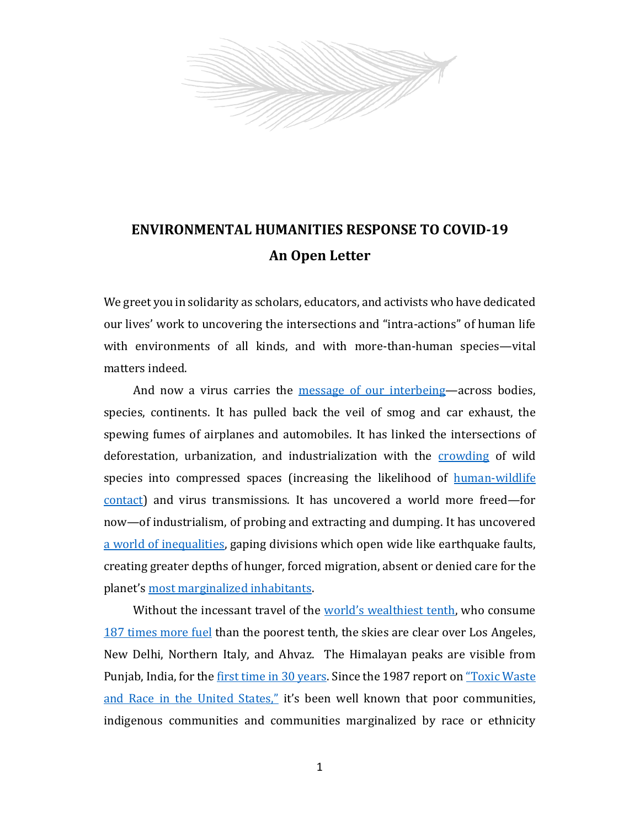

## **ENVIRONMENTAL HUMANITIES RESPONSE TO COVID-19 An Open Letter**

We greet you in solidarity as scholars, educators, and activists who have dedicated our lives' work to uncovering the intersections and "intra-actions" of human life with environments of all kinds, and with more-than-human species—vital matters indeed.

And now a virus carries the message [of our interbeing](https://www.fastcompany.com/90473758/what-would-happen-if-the-world-reacted-to-climate-change-like-its-reacting-to-the-coronavirus)—across bodies, species, continents. It has pulled back the veil of smog and car exhaust, the spewing fumes of airplanes and automobiles. It has linked the intersections of deforestation, urbanization, and industrialization with the [crowding](https://www.nytimes.com/2020/01/28/opinion/coronavirus-china.html?smtyp=cur&smid=tw-nytopinion) of wild species into compressed spaces (increasing the likelihood of [human-wildlife](https://www.thenation.com/article/environment/coronavirus-habitat-loss/)  [contact\)](https://www.thenation.com/article/environment/coronavirus-habitat-loss/) and virus transmissions. It has uncovered a world more freed—for now—of industrialism, of probing and extracting and dumping. It has uncovered [a world of inequalities,](https://www.ft.com/content/10d8f5e8-74eb-11ea-95fe-fcd274e920ca) gaping divisions which open wide like earthquake faults, creating greater depths of hunger, forced migration, absent or denied care for the planet's [most marginalized inhabitants.](https://www.usatoday.com/story/news/nation/2020/04/20/coronavirus-racial-disparity-denied-tests-hospitalization/5163056002/)

Without the incessant travel of the [world's wealthiest tenth](https://www.bbc.com/news/business-51906530), who consume [187 times more fuel](https://www.nature.com/articles/s41560-020-0579-8?proof=trueHere) than the poorest tenth, the skies are clear over Los Angeles, New Delhi, Northern Italy, and Ahvaz. The Himalayan peaks are visible from Punjab, India, for th[e first time in 30 years.](https://www.cnn.com/travel/article/himalayas-visible-lockdown-india-scli-intl/index.html) Since the 1987 report on "Toxic Waste" and Race [in the United States](https://www.ucc.org/a_movement_is_born_environmental_justice_and_the_ucc)," it's been well known that poor communities, indigenous communities and communities marginalized by race or ethnicity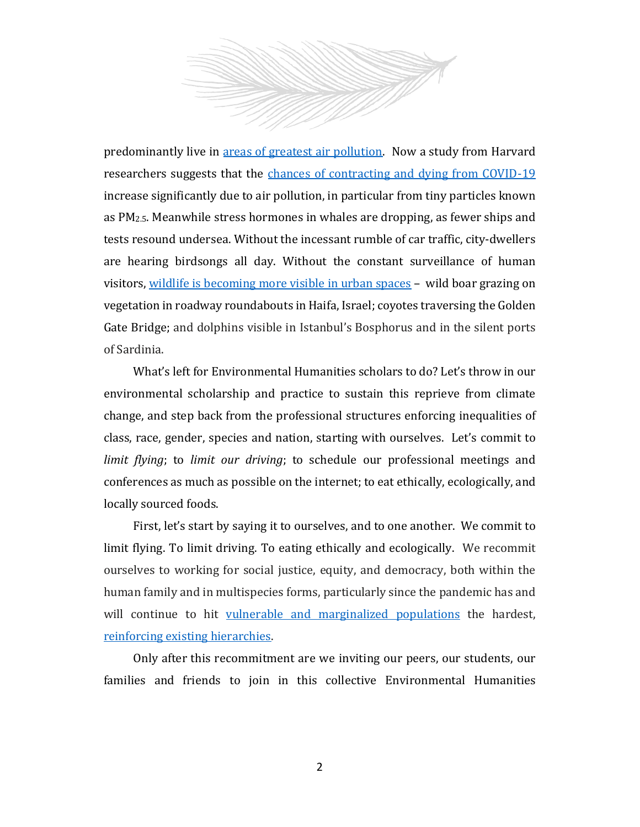

predominantly live in [areas of greatest air pollution.](https://www.lung.org/clean-air/outdoors/who-is-at-risk/disparities) Now a study from Harvard researchers suggests that the [chances of contracting and dying from COVID-19](https://www.nationalgeographic.com/science/2020/04/pollution-made-the-pandemic-worse-but-lockdowns-clean-the-sky/) increase significantly due to air pollution, in particular from tiny particles known as PM2.5. Meanwhile stress hormones in whales are dropping, as fewer ships and tests resound undersea. Without the incessant rumble of car traffic, city-dwellers are hearing birdsongs all day. Without the constant surveillance of human visitors, [wildlife is becoming more visible in urban spaces](https://www.nytimes.com/2020/04/15/magazine/quarantine-animal-videos-coronavirus.html) – wild boar grazing on vegetation in roadway roundabouts in Haifa, Israel; coyotes traversing the Golden Gate Bridge; and dolphins visible in Istanbul's Bosphorus and in the silent ports of Sardinia.

What's left for Environmental Humanities scholars to do? Let's throw in our environmental scholarship and practice to sustain this reprieve from climate change, and step back from the professional structures enforcing inequalities of class, race, gender, species and nation, starting with ourselves. Let's commit to *limit flying*; to *limit our driving*; to schedule our professional meetings and conferences as much as possible on the internet; to eat ethically, ecologically, and locally sourced foods.

First, let's start by saying it to ourselves, and to one another. We commit to limit flying. To limit driving. To eating ethically and ecologically. We recommit ourselves to working for social justice, equity, and democracy, both within the human family and in multispecies forms, particularly since the pandemic has and will continue to hit [vulnerable and marginalized populations](https://www.npr.org/2020/04/20/839138181/indian-health-service-doctor-details-heavy-covid-19-impact-on-navajo-nation) the hardest, [reinforcing existing hierarchies.](https://www.nytimes.com/2020/04/07/us/coronavirus-race.html)

Only after this recommitment are we inviting our peers, our students, our families and friends to join in this collective Environmental Humanities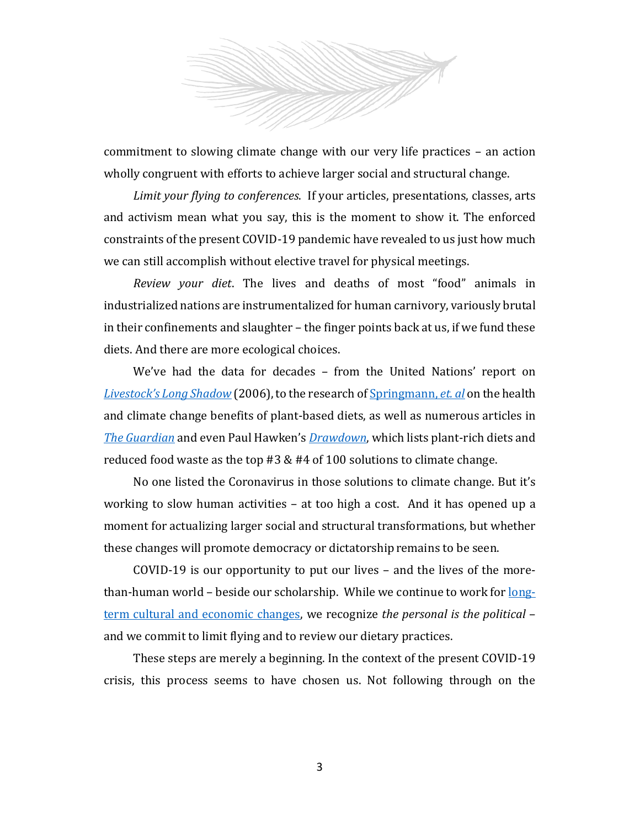

commitment to slowing climate change with our very life practices – an action wholly congruent with efforts to achieve larger social and structural change.

*Limit your flying to conferences*. If your articles, presentations, classes, arts and activism mean what you say, this is the moment to show it. The enforced constraints of the present COVID-19 pandemic have revealed to us just how much we can still accomplish without elective travel for physical meetings.

*Review your diet*. The lives and deaths of most "food" animals in industrialized nations are instrumentalized for human carnivory, variously brutal in their confinements and slaughter – the finger points back at us, if we fund these diets. And there are more ecological choices.

We've had the data for decades – from the United Nations' report on *[Livestock's Long Shadow](http://www.fao.org/3/a0701e/a0701e00.htm)* (2006), to the research of [Springmann,](https://www.pnas.org/content/113/15/4146) *et. al* on the health and climate change benefits of plant-based diets, as well as numerous articles in *[The Guardian](https://www.theguardian.com/environment/2018/oct/10/huge-reduction-in-meat-eating-essential-to-avoid-climate-breakdown)* and even Paul Hawken's *[Drawdown](https://drawdown.org/)*, which lists plant-rich diets and reduced food waste as the top #3 & #4 of 100 solutions to climate change.

No one listed the Coronavirus in those solutions to climate change. But it's working to slow human activities – at too high a cost. And it has opened up a moment for actualizing larger social and structural transformations, but whether these changes will promote democracy or dictatorship remains to be seen.

COVID-19 is our opportunity to put our lives – and the lives of the morethan-human world – beside our scholarship. While we continue to work fo[r long](https://www.theguardian.com/world/2020/apr/07/what-coronavirus-can-teach-us-about-hope-rebecca-solnit)[term cultural and economic changes,](https://www.theguardian.com/world/2020/apr/07/what-coronavirus-can-teach-us-about-hope-rebecca-solnit) we recognize *the personal is the political* – and we commit to limit flying and to review our dietary practices.

These steps are merely a beginning. In the context of the present COVID-19 crisis, this process seems to have chosen us. Not following through on the